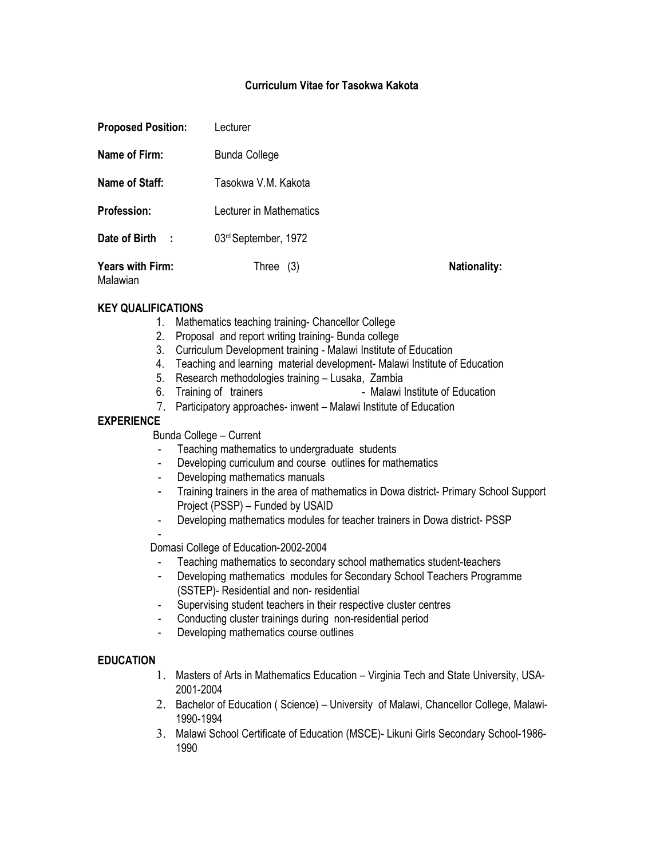# **Curriculum Vitae for Tasokwa Kakota**

| <b>Proposed Position:</b>    | Lecturer                |                     |
|------------------------------|-------------------------|---------------------|
| Name of Firm:                | <b>Bunda College</b>    |                     |
| Name of Staff:               | Tasokwa V.M. Kakota     |                     |
| <b>Profession:</b>           | Lecturer in Mathematics |                     |
| Date of Birth<br>- 1         | 03rd September, 1972    |                     |
| Years with Firm:<br>Malawian | Three<br>(3)            | <b>Nationality:</b> |

## **KEY QUALIFICATIONS**

- 1. Mathematics teaching training- Chancellor College
- 2. Proposal and report writing training- Bunda college
- 3. Curriculum Development training Malawi Institute of Education
- 4. Teaching and learning material development- Malawi Institute of Education
- 5. Research methodologies training Lusaka, Zambia
- 6. Training of trainers **6. Training of trainers** Malawi Institute of Education
- 7. Participatory approaches- inwent Malawi Institute of Education

## **EXPERIENCE**

-

Bunda College – Current

- Teaching mathematics to undergraduate students
- Developing curriculum and course outlines for mathematics
- Developing mathematics manuals
- Training trainers in the area of mathematics in Dowa district- Primary School Support Project (PSSP) – Funded by USAID
- Developing mathematics modules for teacher trainers in Dowa district- PSSP

Domasi College of Education-2002-2004

- Teaching mathematics to secondary school mathematics student-teachers
- Developing mathematics modules for Secondary School Teachers Programme (SSTEP)- Residential and non- residential
- Supervising student teachers in their respective cluster centres
- Conducting cluster trainings during non-residential period
- Developing mathematics course outlines

# **EDUCATION**

- 1. Masters of Arts in Mathematics Education Virginia Tech and State University, USA-2001-2004
- 2. Bachelor of Education ( Science) University of Malawi, Chancellor College, Malawi-1990-1994
- 3. Malawi School Certificate of Education (MSCE)- Likuni Girls Secondary School-1986- 1990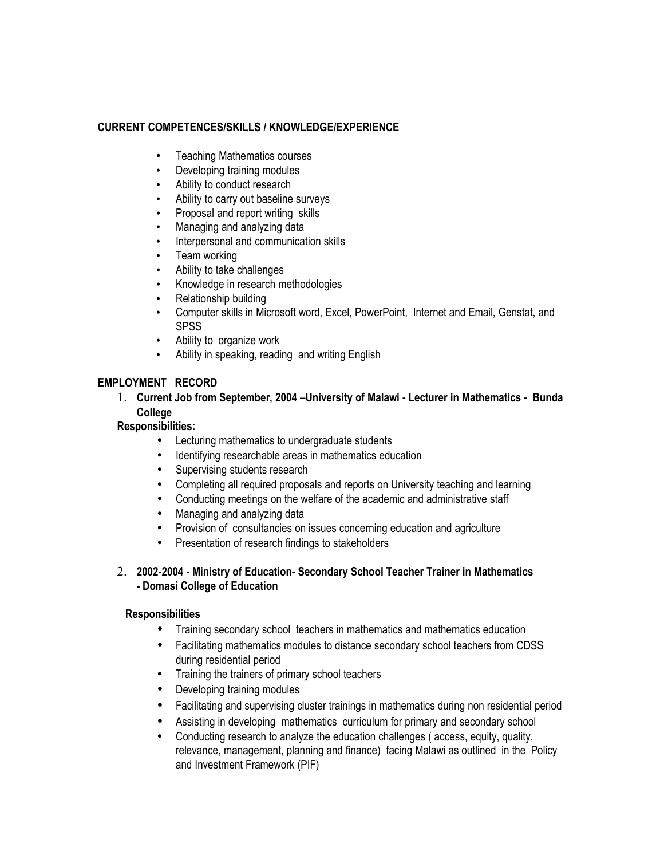# **CURRENT COMPETENCES/SKILLS / KNOWLEDGE/EXPERIENCE**

- Teaching Mathematics courses
- Developing training modules
- Ability to conduct research
- Ability to carry out baseline surveys
- Proposal and report writing skills
- Managing and analyzing data
- Interpersonal and communication skills
- Team working
- Ability to take challenges
- Knowledge in research methodologies
- Relationship building
- Computer skills in Microsoft word, Excel, PowerPoint, Internet and Email, Genstat, and **SPSS**
- Ability to organize work
- Ability in speaking, reading and writing English

# **EMPLOYMENT RECORD**

1. **Current Job from September, 2004 –University of Malawi - Lecturer in Mathematics - Bunda College**

# **Responsibilities:**

- Lecturing mathematics to undergraduate students
- Identifying researchable areas in mathematics education
- Supervising students research
- Completing all required proposals and reports on University teaching and learning
- Conducting meetings on the welfare of the academic and administrative staff
- Managing and analyzing data
- Provision of consultancies on issues concerning education and agriculture
- Presentation of research findings to stakeholders
- 2. **2002-2004 Ministry of Education- Secondary School Teacher Trainer in Mathematics - Domasi College of Education**

# **Responsibilities**

- Training secondary school teachers in mathematics and mathematics education
- Facilitating mathematics modules to distance secondary school teachers from CDSS during residential period
- Training the trainers of primary school teachers
- Developing training modules
- Facilitating and supervising cluster trainings in mathematics during non residential period
- Assisting in developing mathematics curriculum for primary and secondary school
- Conducting research to analyze the education challenges ( access, equity, quality, relevance, management, planning and finance) facing Malawi as outlined in the Policy and Investment Framework (PIF)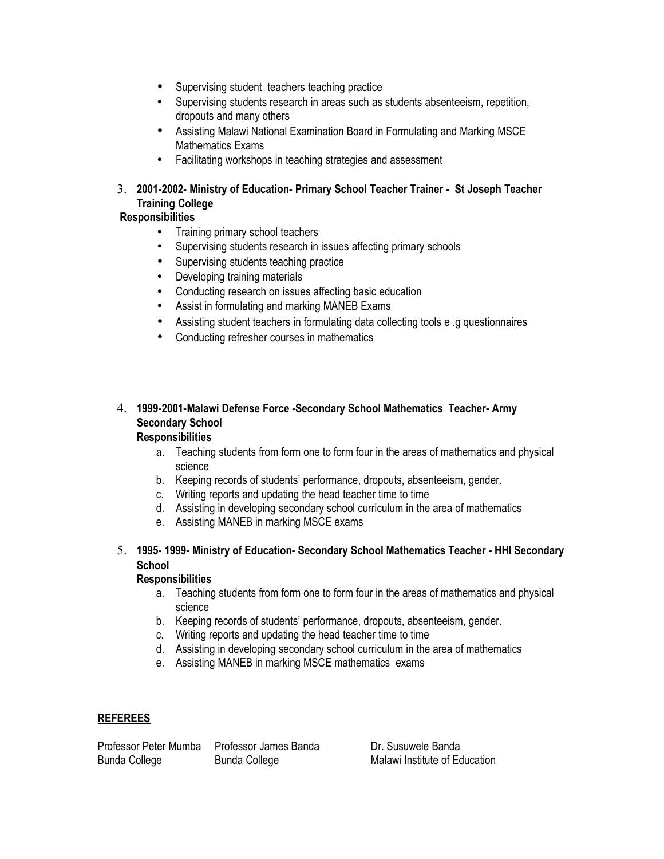- Supervising student teachers teaching practice
- Supervising students research in areas such as students absenteeism, repetition, dropouts and many others
- Assisting Malawi National Examination Board in Formulating and Marking MSCE Mathematics Exams
- Facilitating workshops in teaching strategies and assessment

# 3. **2001-2002- Ministry of Education- Primary School Teacher Trainer - St Joseph Teacher Training College**

# **Responsibilities**

- Training primary school teachers
- Supervising students research in issues affecting primary schools
- Supervising students teaching practice
- Developing training materials
- Conducting research on issues affecting basic education
- Assist in formulating and marking MANEB Exams
- Assisting student teachers in formulating data collecting tools e .g questionnaires
- Conducting refresher courses in mathematics

# 4. **1999-2001-Malawi Defense Force -Secondary School Mathematics Teacher- Army Secondary School**

# **Responsibilities**

- a. Teaching students from form one to form four in the areas of mathematics and physical science
- b. Keeping records of students' performance, dropouts, absenteeism, gender.
- c. Writing reports and updating the head teacher time to time
- d. Assisting in developing secondary school curriculum in the area of mathematics
- e. Assisting MANEB in marking MSCE exams

# 5. **1995- 1999- Ministry of Education- Secondary School Mathematics Teacher - HHI Secondary School**

#### **Responsibilities**

- a. Teaching students from form one to form four in the areas of mathematics and physical science
- b. Keeping records of students' performance, dropouts, absenteeism, gender.
- c. Writing reports and updating the head teacher time to time
- d. Assisting in developing secondary school curriculum in the area of mathematics
- e. Assisting MANEB in marking MSCE mathematics exams

# **REFEREES**

Professor Peter Mumba Professor James Banda Dr. Susuwele Banda Bunda College **Bunda College** Malawi Institute of Education